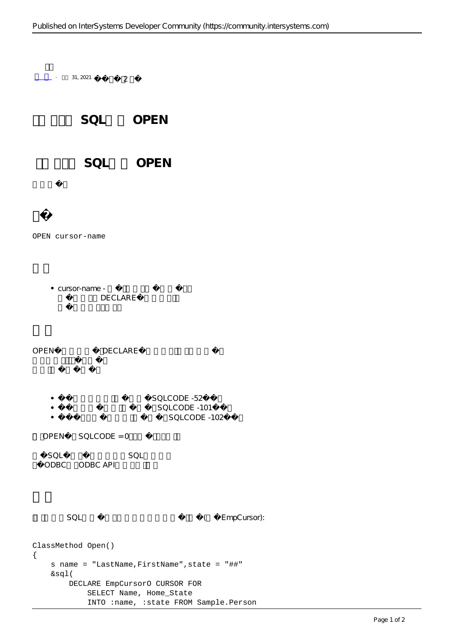$-$  31, 2021 2 SQL OPEN SQL OPEN OPEN cursor-name  $\bullet$  cursor-name -DECLARE OPEN DECLARE SQLCODE -52  $\bullet$ SQLCODE -101  $\bullet$ SQLCODE -102  $OPEN$  SQLCODE = 0  $SOL$ ODBC ODBC API SQL SQL EmpCursor): ClassMethod Open() { s name = "LastName,FirstName",state = "##" &sql( DECLARE EmpCursorO CURSOR FOR SELECT Name, Home\_State

INTO :name, :state FROM Sample.Person